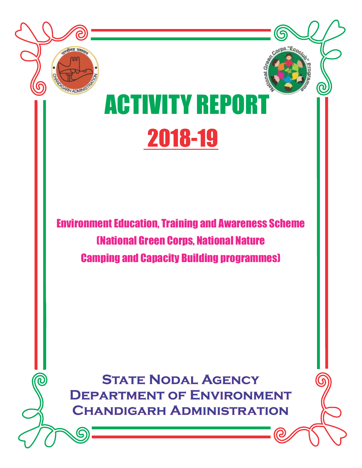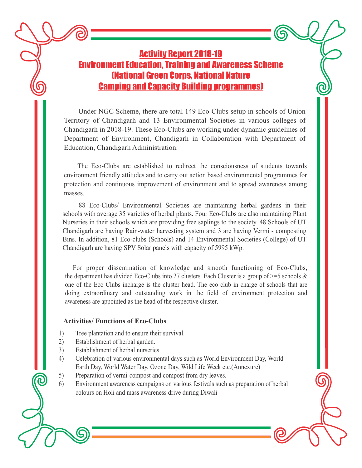#### Activity Report 2018-19 Environment Education, Training and Awareness Scheme (National Green Corps, National Nature Camping and Capacity Building programmes)

Under NGC Scheme, there are total 149 Eco-Clubs setup in schools of Union Territory of Chandigarh and 13 Environmental Societies in various colleges of Chandigarh in 2018-19. These Eco-Clubs are working under dynamic guidelines of Department of Environment, Chandigarh in Collaboration with Department of Education, Chandigarh Administration.

The Eco-Clubs are established to redirect the consciousness of students towards environment friendly attitudes and to carry out action based environmental programmes for protection and continuous improvement of environment and to spread awareness among masses.

88 Eco-Clubs/ Environmental Societies are maintaining herbal gardens in their schools with average 35 varieties of herbal plants. Four Eco-Clubs are also maintaining Plant Nurseries in their schools which are providing free saplings to the society. 48 Schools of UT Chandigarh are having Rain-water harvesting system and 3 are having Vermi - composting Bins. In addition, 81 Eco-clubs (Schools) and 14 Environmental Societies (College) of UT Chandigarh are having SPV Solar panels with capacity of 5995 kWp.

For proper dissemination of knowledge and smooth functioning of Eco-Clubs, the department has divided Eco-Clubs into 27 clusters. Each Cluster is a group of  $\geq$ =5 schools & one of the Eco Clubs incharge is the cluster head. The eco club in charge of schools that are doing extraordinary and outstanding work in the field of environment protection and awareness are appointed as the head of the respective cluster.

#### **Activities/ Functions of Eco-Clubs**

- Tree plantation and to ensure their survival. 1)
- Establishment of herbal garden. 2)
- Establishment of herbal nurseries. 3)
- Celebration of various environmental days such as World Environment Day, World Earth Day, World Water Day, Ozone Day, Wild Life Week etc.(Annexure) 4)
- Preparation of vermi-compost and compost from dry leaves. 5)
- Environment awareness campaigns on various festivals such as preparation of herbal colours on Holi and mass awareness drive during Diwali 6)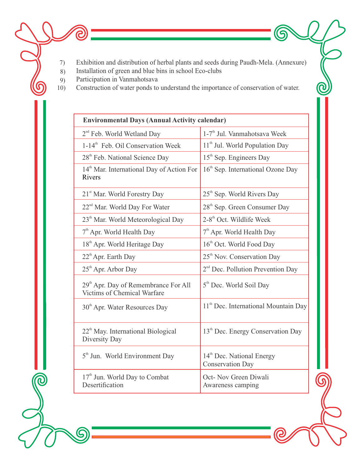Exhibition and distribution of herbal plants and seeds during Paudh-Mela. (Annexure) 7)

6

 $\bigcirc$ 

- Installation of green and blue bins in school Eco-clubs 8)
- Participation in Vanmahotsava 9)

ල

G

 $\widehat{\bm{c}}$ 

Construction of water ponds to understand the importance of conservation of water. 10)

| <b>Environmental Days (Annual Activity calendar)</b>                                   |                                                                  |
|----------------------------------------------------------------------------------------|------------------------------------------------------------------|
| 2 <sup>nd</sup> Feb. World Wetland Day                                                 | 1-7 <sup>th</sup> Jul. Vanmahotsava Week                         |
| 1-14 <sup>th</sup> Feb. Oil Conservation Week                                          | 11 <sup>th</sup> Jul. World Population Day                       |
| 28 <sup>th</sup> Feb. National Science Day                                             | 15 <sup>th</sup> Sep. Engineers Day                              |
| 14 <sup>th</sup> Mar. International Day of Action For<br>Rivers                        | $16th$ Sep. International Ozone Day                              |
| 21 <sup>st</sup> Mar. World Forestry Day                                               | 25 <sup>th</sup> Sep. World Rivers Day                           |
| 22 <sup>nd</sup> Mar. World Day For Water                                              | 28 <sup>th</sup> Sep. Green Consumer Day                         |
| 23 <sup>th</sup> Mar. World Meteorological Day                                         | 2-8 <sup>th</sup> Oct. Wildlife Week                             |
| $7th$ Apr. World Health Day                                                            | $7th$ Apr. World Health Day                                      |
| 18 <sup>th</sup> Apr. World Heritage Day                                               | 16 <sup>th</sup> Oct. World Food Day                             |
| $22th$ Apr. Earth Day                                                                  | 25 <sup>th</sup> Nov. Conservation Day                           |
| 25 <sup>th</sup> Apr. Arbor Day                                                        | 2 <sup>nd</sup> Dec. Pollution Prevention Day                    |
| 29 <sup>th</sup> Apr. Day of Remembrance For All<br><b>Victims of Chemical Warfare</b> | 5 <sup>th</sup> Dec. World Soil Day                              |
| 30 <sup>th</sup> Apr. Water Resources Day                                              | 11 <sup>th</sup> Dec. International Mountain Day                 |
| 22 <sup>th</sup> May. International Biological<br>Diversity Day                        | 13 <sup>th</sup> Dec. Energy Conservation Day                    |
| 5 <sup>th</sup> Jun. World Environment Day                                             | 14 <sup>th</sup> Dec. National Energy<br><b>Conservation Day</b> |
| 17 <sup>th</sup> Jun. World Day to Combat<br>Desertification                           | Oct- Nov Green Diwali<br>Awareness camping                       |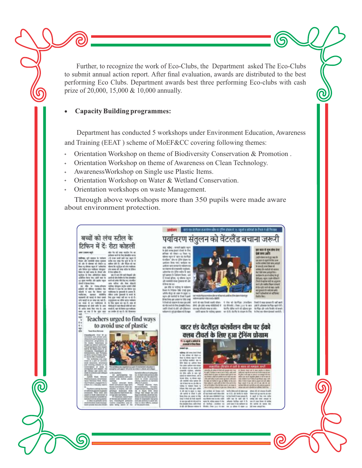Further, to recognize the work of Eco-Clubs, the Department asked The Eco-Clubs to submit annual action report. After final evaluation, awards are distributed to the best performing Eco Clubs. Department awards best three performing Eco-clubs with cash prize of 20,000, 15,000 & 10,000 annually.

#### **Capacity Building programmes:**

R

 Department has conducted 5 workshops under Environment Education, Awareness and Training (EEAT ) scheme of MoEF&CC covering following themes:

- Orientation Workshop on theme of Biodiversity Conservation & Promotion .  $\circ$
- Orientation Workshop on theme of Awareness on Clean Technology.  $\circ$
- AwarenessWorkshop on Single use Plastic Items.  $\circ$
- Orientation Workshop on Water & Wetland Conservation.
- Orientation workshops on waste Management.  $\circ$

 Through above workshops more than 350 pupils were made aware about environment protection.

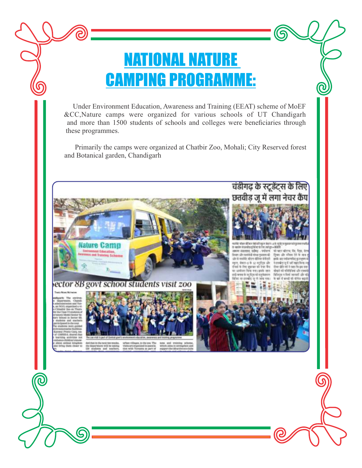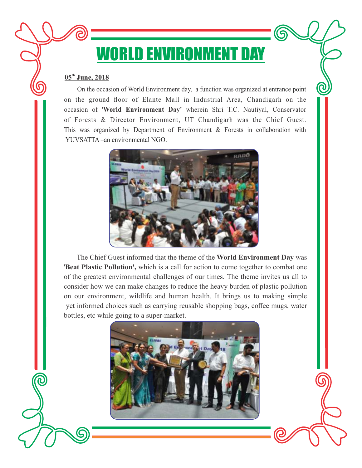## WORLD ENVIRONMENT DAY

#### **05<sup>th</sup> June, 2018**

 On the occasion of World Environment day, a function was organized at entrance point on the ground floor of Elante Mall in Industrial Area, Chandigarh on the occasion of '**World Environment Day'** wherein Shri T.C. Nautiyal, Conservator of Forests & Director Environment, UT Chandigarh was the Chief Guest. This was organized by Department of Environment & Forests in collaboration with YUVSATTA –an environmental NGO.



 The Chief Guest informed that the theme of the **World Environment Day** was '**Beat Plastic Pollution',** which is a call for action to come together to combat one of the greatest environmental challenges of our times. The theme invites us all to consider how we can make changes to reduce the heavy burden of plastic pollution on our environment, wildlife and human health. It brings us to making simple yet informed choices such as carrying reusable shopping bags, coffee mugs, water bottles, etc while going to a super-market.

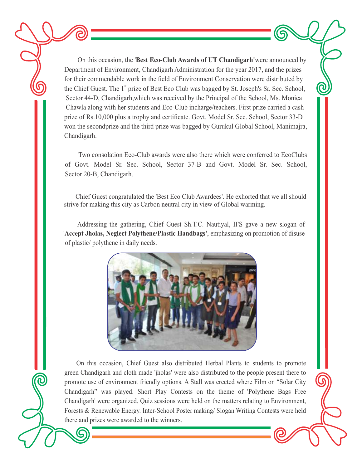On this occasion, the '**Best Eco-Club Awards of UT Chandigarh'**were announced by Department of Environment, Chandigarh Administration for the year 2017, and the prizes for their commendable work in the field of Environment Conservation were distributed by the Chief Guest. The 1<sup>st</sup> prize of Best Eco Club was bagged by St. Joseph's Sr. Sec. School, Sector 44-D, Chandigarh,which was received by the Principal of the School, Ms. Monica Chawla along with her students and Eco-Club incharge/teachers. First prize carried a cash prize of Rs.10,000 plus a trophy and certificate. Govt. Model Sr. Sec. School, Sector 33-D won the secondprize and the third prize was bagged by Gurukul Global School, Manimajra, Chandigarh.

 Two consolation Eco-Club awards were also there which were conferred to EcoClubs of Govt. Model Sr. Sec. School, Sector 37-B and Govt. Model Sr. Sec. School, Sector 20-B, Chandigarh.

 Chief Guest congratulated the 'Best Eco Club Awardees'. He exhorted that we all should strive for making this city as Carbon neutral city in view of Global warming.

Addressing the gathering, Chief Guest Sh.T.C. Nautiyal, IFS gave a new slogan of '**Accept Jholas, Neglect Polythene/Plastic Handbags'**, emphasizing on promotion of disuse of plastic/ polythene in daily needs.



On this occasion, Chief Guest also distributed Herbal Plants to students to promote green Chandigarh and cloth made 'jholas' were also distributed to the people present there to promote use of environment friendly options. A Stall was erected where Film on "Solar City Chandigarh" was played. Short Play Contests on the theme of 'Polythene Bags Free Chandigarh' were organized. Quiz sessions were held on the matters relating to Environment, Forests & Renewable Energy. Inter-School Poster making/ Slogan Writing Contests were held there and prizes were awarded to the winners.

Q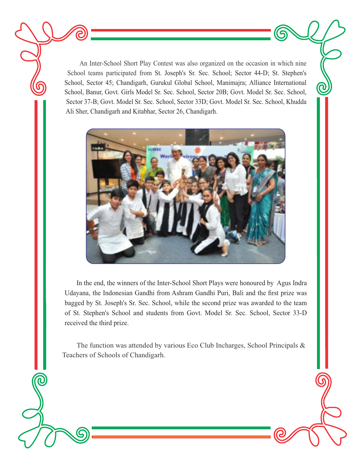An Inter-School Short Play Contest was also organized on the occasion in which nine School teams participated from St. Joseph's Sr. Sec. School; Sector 44-D; St. Stephen's School, Sector 45; Chandigarh, Gurukul Global School, Manimajra; Alliance International School, Banur, Govt. Girls Model Sr. Sec. School, Sector 20B; Govt. Model Sr. Sec. School, Sector 37-B; Govt. Model Sr. Sec. School, Sector 33D; Govt. Model Sr. Sec. School, Khudda Ali Sher, Chandigarh and Kitabhar, Sector 26, Chandigarh.

G

 $\widehat{\bm{c}}$ 



 In the end, the winners of the Inter-School Short Plays were honoured by Agus Indra Udayana, the Indonesian Gandhi from Ashram Gandhi Puri, Bali and the first prize was bagged by St. Joseph's Sr. Sec. School, while the second prize was awarded to the team of St. Stephen's School and students from Govt. Model Sr. Sec. School, Sector 33-D received the third prize.

 The function was attended by various Eco Club Incharges, School Principals & Teachers of Schools of Chandigarh.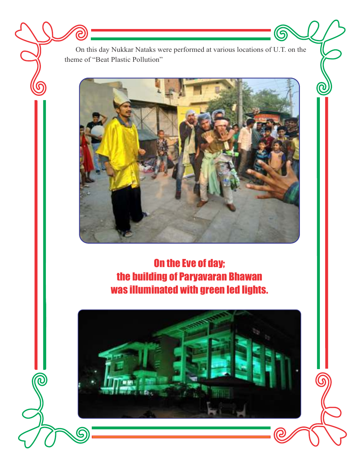On this day Nukkar Nataks were performed at various locations of U.T. on the theme of "Beat Plastic Pollution"

 $\bm{\mathcal{Q}}$ 

ඛ

 $\bigcirc$ 

 $\widehat{\mathcal{C}}$ 



On the Eve of day; the building of Paryavaran Bhawan was illuminated with green led lights.

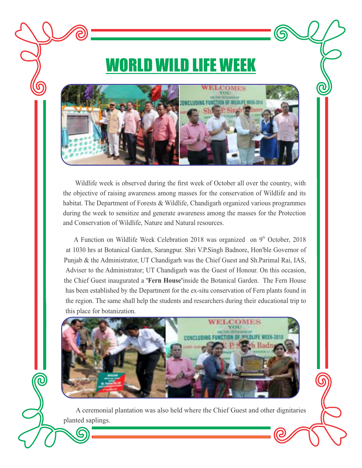## WORLD WILD LIFE WEEK

G

ි



Wildlife week is observed during the first week of October all over the country, with the objective of raising awareness among masses for the conservation of Wildlife and its habitat. The Department of Forests & Wildlife, Chandigarh organized various programmes during the week to sensitize and generate awareness among the masses for the Protection and Conservation of Wildlife, Nature and Natural resources.

A Function on Wildlife Week Celebration 2018 was organized on  $9<sup>th</sup>$  October, 2018 at 1030 hrs at Botanical Garden, Sarangpur. Shri V.P.Singh Badnore, Hon'ble Governor of Punjab & the Administrator, UT Chandigarh was the Chief Guest and Sh.Parimal Rai, IAS, Adviser to the Administrator; UT Chandigarh was the Guest of Honour. On this occasion, the Chief Guest inaugurated a **'Fern House'**inside the Botanical Garden. The Fern House has been established by the Department for the ex-situ conservation of Fern plants found in the region. The same shall help the students and researchers during their educational trip to this place for botanization.



 A ceremonial plantation was also held where the Chief Guest and other dignitaries planted saplings.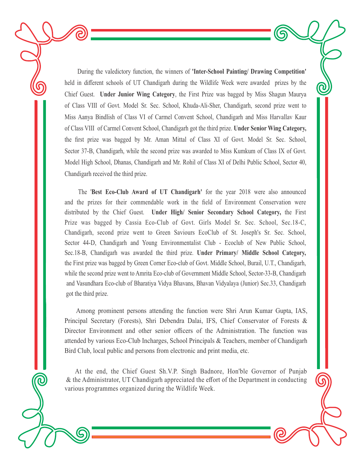During the valedictory function, the winners of **'Inter-School Painting/ Drawing Competition'** held in different schools of UT Chandigarh during the Wildlife Week were awarded prizes by the Chief Guest. **Under Junior Wing Category**, the First Prize was bagged by Miss Shagun Maurya of Class VIII of Govt. Model Sr. Sec. School, Khuda-Ali-Sher, Chandigarh, second prize went to Miss Aanya Bindlish of Class VI of Carmel Convent School, Chandigarh and Miss Harvallav Kaur of Class VIII of Carmel Convent School, Chandigarh got the third prize. **Under Senior Wing Category,** the first prize was bagged by Mr. Aman Mittal of Class XI of Govt. Model Sr. Sec. School, Sector 37-B, Chandigarh, while the second prize was awarded to Miss Kumkum of Class IX of Govt. Model High School, Dhanas, Chandigarh and Mr. Rohil of Class XI of Delhi Public School, Sector 40, Chandigarh received the third prize.

G

Q

The '**Best Eco-Club Award of UT Chandigarh'** for the year 2018 were also announced and the prizes for their commendable work in the field of Environment Conservation were distributed by the Chief Guest. **Under High/ Senior Secondary School Category,** the First Prize was bagged by Cassia Eco-Club of Govt. Girls Model Sr. Sec. School, Sec.18-C, Chandigarh, second prize went to Green Saviours EcoClub of St. Joseph's Sr. Sec. School, Sector 44-D, Chandigarh and Young Environmentalist Club - Ecoclub of New Public School, Sec.18-B, Chandigarh was awarded the third prize. **Under Primary/ Middle School Category,**  the First prize was bagged by Green Corner Eco-club of Govt. Middle School, Burail, U.T., Chandigarh, while the second prize went to Amrita Eco-club of Government Middle School, Sector-33-B, Chandigarh and Vasundhara Eco-club of Bharatiya Vidya Bhavans, Bhavan Vidyalaya (Junior) Sec.33, Chandigarh got the third prize.

Among prominent persons attending the function were Shri Arun Kumar Gupta, IAS, Principal Secretary (Forests), Shri Debendra Dalai, IFS, Chief Conservator of Forests & Director Environment and other senior officers of the Administration. The function was attended by various Eco-Club Incharges, School Principals & Teachers, member of Chandigarh Bird Club, local public and persons from electronic and print media, etc.

At the end, the Chief Guest Sh.V.P. Singh Badnore, Hon'ble Governor of Punjab & the Administrator, UT Chandigarh appreciated the effort of the Department in conducting various programmes organized during the Wildlife Week.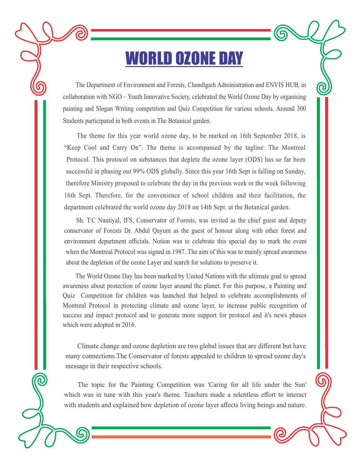### WORLD OZONE DAY

The Department of Environment and Forests, Chandigarh Administration and ENVIS HUB, in collaboration with NGO – Youth Innovative Society, celebrated the World Ozone Day by organising painting and Slogan Writing competition and Quiz Competition for various schools. Around 300 Students participated in both events in The Botanical garden.

G

<u>G</u>

The theme for this year world ozone day, to be marked on 16th September 2018, is "Keep Cool and Carry On". The theme is accompanied by the tagline: The Montreal Protocol. This protocol on substances that deplete the ozone layer (ODS) has so far been successful in phasing out 99% ODS globally. Since this year 16th Sept is falling on Sunday, therefore Ministry proposed to celebrate the day in the previous week or the week following 16th Sept. Therefore, for the convenience of school children and their facilitation, the department celebrated the world ozone day 2018 on 14th Sept. at the Botanical garden.

Sh. T.C Nautiyal, IFS, Conservator of Forests, was invited as the chief guest and deputy conservator of Forests Dr. Abdul Qayum as the guest of honour along with other forest and environment department officials. Notion was to celebrate this special day to mark the event when the Montreal Protocol was signed in 1987. The aim of this was to mainly spread awareness about the depletion of the ozone Layer and search for solutions to preserve it.

 The World Ozone Day has been marked by United Nations with the ultimate goal to spread awareness about protection of ozone layer around the planet. For this purpose, a Painting and Quiz Competition for children was launched that helped to celebrate accomplishments of Montreal Protocol in protecting climate and ozone layer, to increase public recognition of success and impact protocol and to generate more support for protocol and it's news phases which were adopted in 2016.

 Climate change and ozone depletion are two global issues that are different but have many connections.The Conservator of forests appealed to children to spread ozone day's message in their respective schools.

The topic for the Painting Competition was 'Caring for all life under the Sun' which was in tune with this year's theme. Teachers made a relentless effort to interact with students and explained how depletion of ozone layer affects living beings and nature.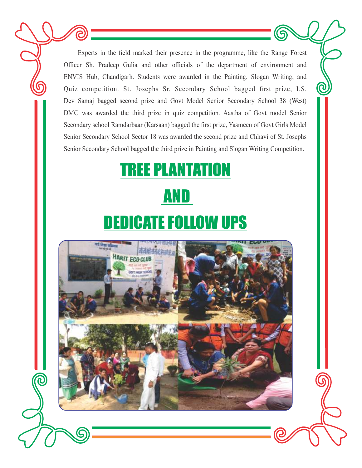Experts in the field marked their presence in the programme, like the Range Forest Officer Sh. Pradeep Gulia and other officials of the department of environment and ENVIS Hub, Chandigarh. Students were awarded in the Painting, Slogan Writing, and Quiz competition. St. Josephs Sr. Secondary School bagged first prize, I.S. Dev Samaj bagged second prize and Govt Model Senior Secondary School 38 (West) DMC was awarded the third prize in quiz competition. Aastha of Govt model Senior Secondary school Ramdarbaar (Karsaan) bagged the first prize, Yasmeen of Govt Girls Model Senior Secondary School Sector 18 was awarded the second prize and Chhavi of St. Josephs Senior Secondary School bagged the third prize in Painting and Slogan Writing Competition.

 $\boldsymbol{\mathcal{Q}}$ 

6

 $\widehat{\mathbb{C}}$ 

# **REE PLANTATION**  AND **EDICATE FOLLOW UPS**

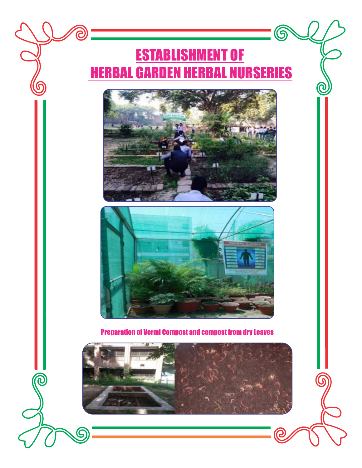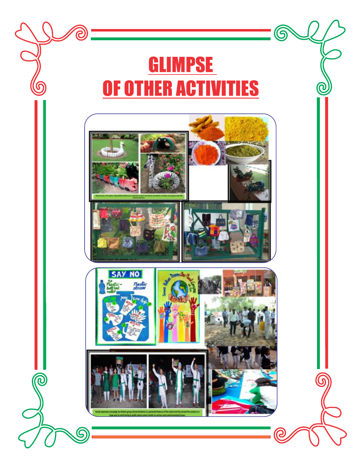